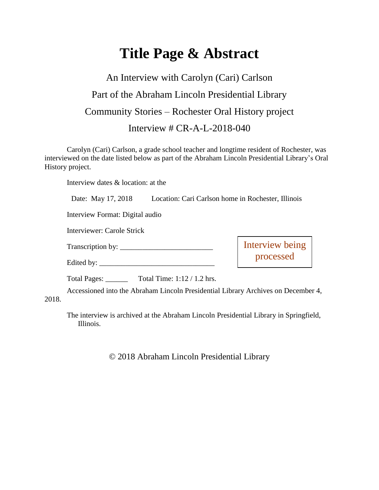# **Title Page & Abstract**

# An Interview with Carolyn (Cari) Carlson Part of the Abraham Lincoln Presidential Library Community Stories – Rochester Oral History project Interview # CR-A-L-2018-040

Carolyn (Cari) Carlson, a grade school teacher and longtime resident of Rochester, was interviewed on the date listed below as part of the Abraham Lincoln Presidential Library's Oral History project.

Interview dates & location: at the

| Date: May 17, 2018 | Location: Cari Carlson home in Rochester, Illinois |
|--------------------|----------------------------------------------------|
|--------------------|----------------------------------------------------|

Interview Format: Digital audio

Interviewer: Carole Strick

Transcription by: \_\_\_\_\_\_\_\_\_\_\_\_\_\_\_\_\_\_\_\_\_\_\_\_\_

Edited by:

Interview being processed

Total Pages: \_\_\_\_\_\_ Total Time: 1:12 / 1.2 hrs.

Accessioned into the Abraham Lincoln Presidential Library Archives on December 4,

2018.

The interview is archived at the Abraham Lincoln Presidential Library in Springfield, Illinois.

© 2018 Abraham Lincoln Presidential Library